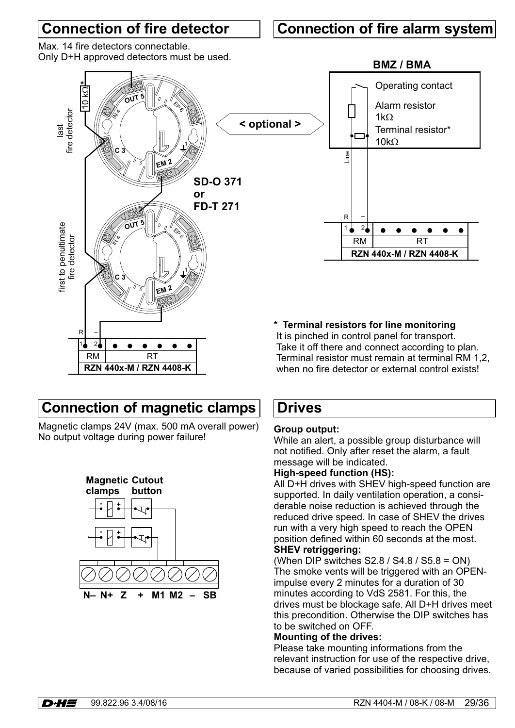# **Connection of fire detector**

### **Connection of fire alarm system**

Max. 14 fire detectors connectable. Only D+H approved detectors must be used.



**Connection of magnetic clamps**

Magnetic clamps 24V (max. 500 mA overall power) Magnetic clamps 24V (max. 500 mA overall power) **Group output:**<br>No output voltage during power failure! While an alert

**RZN 440x-M / RZN 4408-K**



### **Drives**

While an alert, a possible group disturbance will not notified. Only after reset the alarm, a fault message will be indicated.

when no fire detector or external control exists!

#### **High-speed function (HS):**

All D+H drives with SHEV high-speed function are supported. In daily ventilation operation, a considerable noise reduction is achieved through the reduced drive speed. In case of SHEV the drives run with a very high speed to reach the OPEN position defined within 60 seconds at the most. **SHEV retriggering:**

#### (When DIP switches  $S2.8 / S4.8 / S5.8 = ON$ ) The smoke vents will be triggered with an OPENimpulse every 2 minutes for a duration of 30 minutes according to VdS 2581. For this, the drives must be blockage safe. All D+H drives meet this precondition. Otherwise the DIP switches has to be switched on OFF.

#### **Mounting of the drives:**

Please take mounting informations from the relevant instruction for use of the respective drive, because of varied possibilities for choosing drives.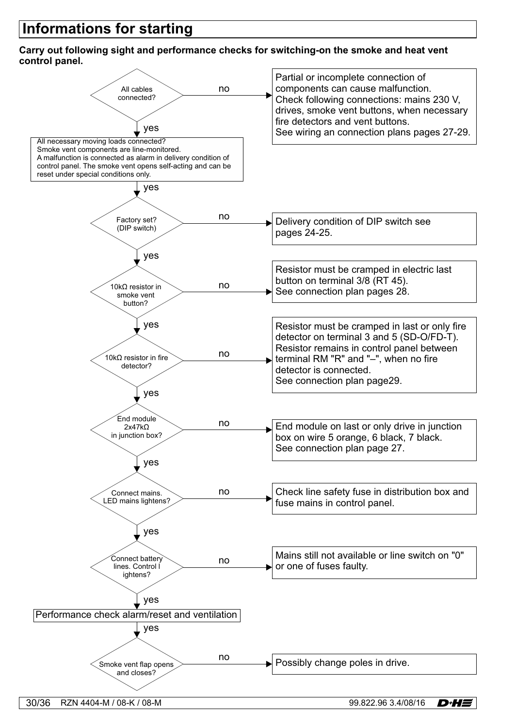# **Informations for starting**

#### **Carry out following sight and performance checks for switching-on the smoke and heat vent control panel.**

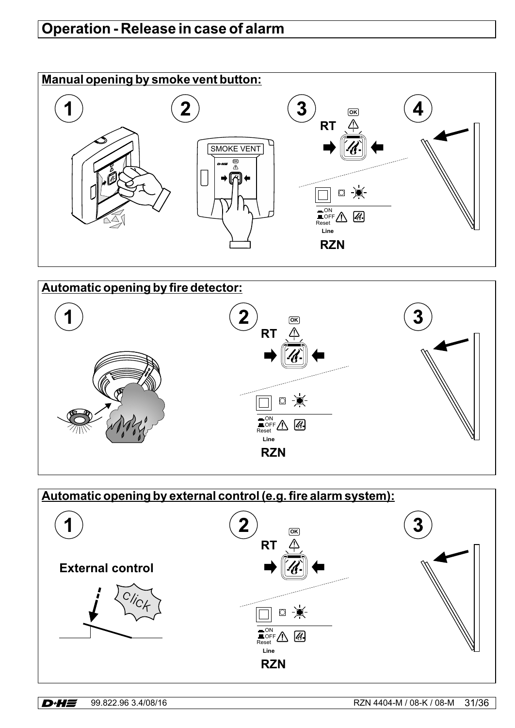# **Operation - Release in case of alarm**





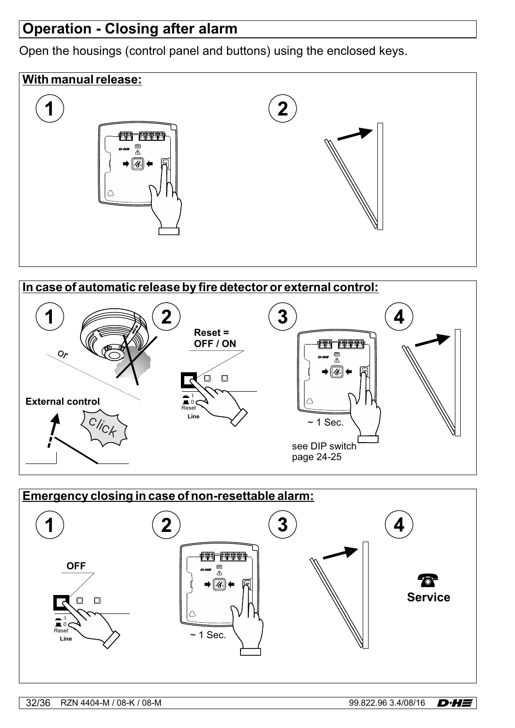# **Operation - Closing after alarm**

Open the housings (control panel and buttons) using the enclosed keys.





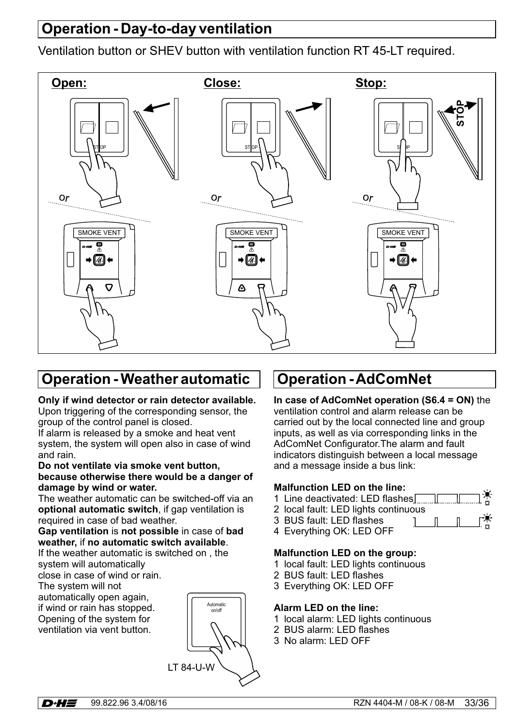# **Operation - Day-to-day ventilation**

Ventilation button or SHEV button with ventilation function RT 45-LT required.



### **Operation - Weather automatic**

#### **Only if wind detector or rain detector available.**

Upon triggering of the corresponding sensor, the group of the control panel is closed.

If alarm is released by a smoke and heat vent system, the system will open also in case of wind and rain.

#### **Do not ventilate via smoke vent button, because otherwise there would be a danger of damage by wind or water.**

The weather automatic can be switched-off via an **optional automatic switch**, if gap ventilation is required in case of bad weather.

#### **Gap ventilation is not possible in case of bad** weather, if no automatic switch available.

If the weather automatic is switched on , the system will automatically

close in case of wind or rain.

The system will not

automatically open again, if wind or rain has stopped. Opening of the system for ventilation via vent button.



# **Operation -AdComNet**

### **In case of AdComNet operation (S6.4 = ON)** the

ventilation control and alarm release can be carried out by the local connected line and group inputs, as well as via corresponding links in the AdComNet Configurator.The alarm and fault indicators distinguish between a local message and a message inside a bus link:

#### **Malfunction LED on the line:**

- 1 Line deactivated: LED flashes
- 2 local fault: LED lights continuous
- 3 BUS fault: LED flashes  $1 \quad \blacksquare$
- 4 Everything OK: LED OFF

#### **Malfunction LED on the group:**

- 1 local fault: LED lights continuous
- 2 BUS fault: LED flashes
- 3 Everything OK: LED OFF

#### **Alarm LED on the line:**

- 1 local alarm: LED lights continuous
- 2 BUS alarm: LED flashes
- 3 No alarm: LED OFF